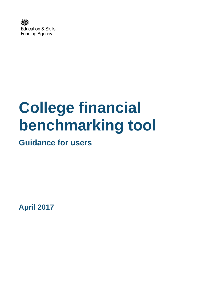

# **College financial benchmarking tool**

**Guidance for users**

**April 2017**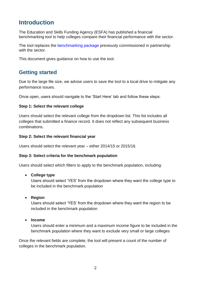# **Introduction**

The Education and Skills Funding Agency (ESFA) has published a financial benchmarking tool to help colleges compare their financial performance with the sector.

The tool replaces the [benchmarking package](https://www.gov.uk/government/publications/sfa-financial-management-benchmarking-data-for-colleges) previously commissioned in partnership with the sector.

This document gives guidance on how to use the tool.

## **Getting started**

Due to the large file size, we advise users to save the tool to a local drive to mitigate any performance issues.

Once open, users should navigate to the 'Start Here' tab and follow these steps:

#### **Step 1: Select the relevant college**

Users should select the relevant college from the dropdown list. This list includes all colleges that submitted a finance record. It does not reflect any subsequent business combinations.

#### **Step 2: Select the relevant financial year**

Users should select the relevant year – either 2014/15 or 2015/16.

#### **Step 3: Select criteria for the benchmark population**

Users should select which filters to apply to the benchmark population, including:

#### **College type**

Users should select 'YES' from the dropdown where they want the college type to be included in the benchmark population

**•** Region

Users should select 'YES' from the dropdown where they want the region to be included in the benchmark population

#### **Income**

Users should enter a minimum and a maximum income figure to be included in the benchmark population where they want to exclude very small or large colleges

Once the relevant fields are complete, the tool will present a count of the number of colleges in the benchmark population.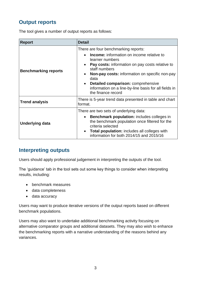# **Output reports**

The tool gives a number of output reports as follows:

| <b>Report</b>               | <b>Detail</b>                                                                                                                                                                                                                                                                                                                                                         |
|-----------------------------|-----------------------------------------------------------------------------------------------------------------------------------------------------------------------------------------------------------------------------------------------------------------------------------------------------------------------------------------------------------------------|
| <b>Benchmarking reports</b> | There are four benchmarking reports:<br><b>Income:</b> information on income relative to<br>learner numbers<br>Pay costs: information on pay costs relative to<br>staff numbers<br><b>Non-pay costs:</b> information on specific non-pay<br>data<br>Detailed comparison: comprehensive<br>information on a line-by-line basis for all fields in<br>the finance record |
| <b>Trend analysis</b>       | There is 5-year trend data presented in table and chart<br>format.                                                                                                                                                                                                                                                                                                    |
| Underlying data             | There are two sets of underlying data:<br><b>Benchmark population:</b> includes colleges in<br>the benchmark population once filtered for the<br>criteria selected<br><b>Total population:</b> includes all colleges with<br>information for both 2014/15 and 2015/16                                                                                                 |

### **Interpreting outputs**

Users should apply professional judgement in interpreting the outputs of the tool.

The 'guidance' tab in the tool sets out some key things to consider when interpreting results, including:

- benchmark measures
- data completeness
- data accuracy

Users may want to produce iterative versions of the output reports based on different benchmark populations.

Users may also want to undertake additional benchmarking activity focusing on alternative comparator groups and additional datasets. They may also wish to enhance the benchmarking reports with a narrative understanding of the reasons behind any variances.